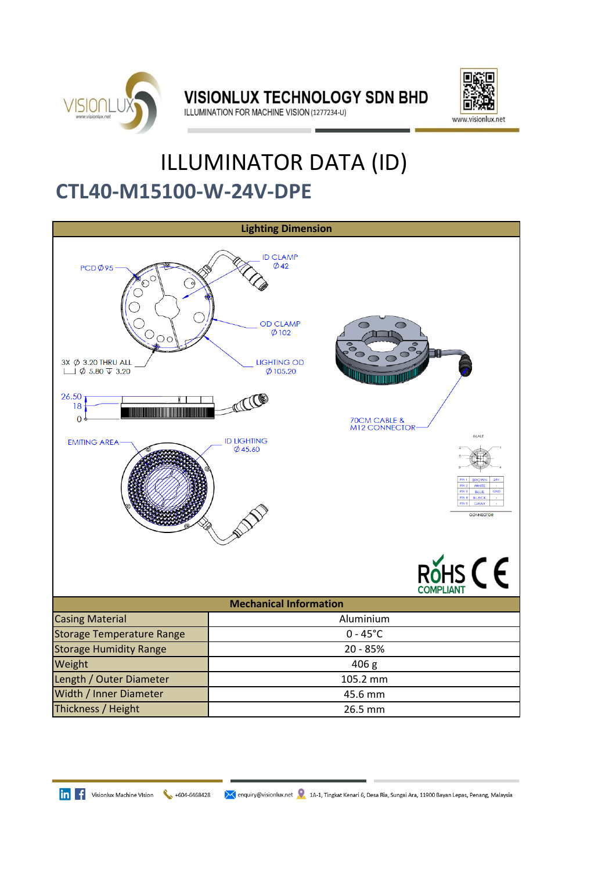

**VISIONLUX TECHNOLOGY SDN BHD** ILLUMINATION FOR MACHINE VISION (1277234-U)



# **CTL40-M15100-W-24V-DPE** ILLUMINATOR DATA (ID)



 $+604-6468428$ **in** F Visionlux Machine VIsion

</a> enquiry@visionlux.net </a> 1A-1, Tingkat Kenari 6, Desa Ria, Sungai Ara, 11900 Bayan Lepas, Penang, Malaysia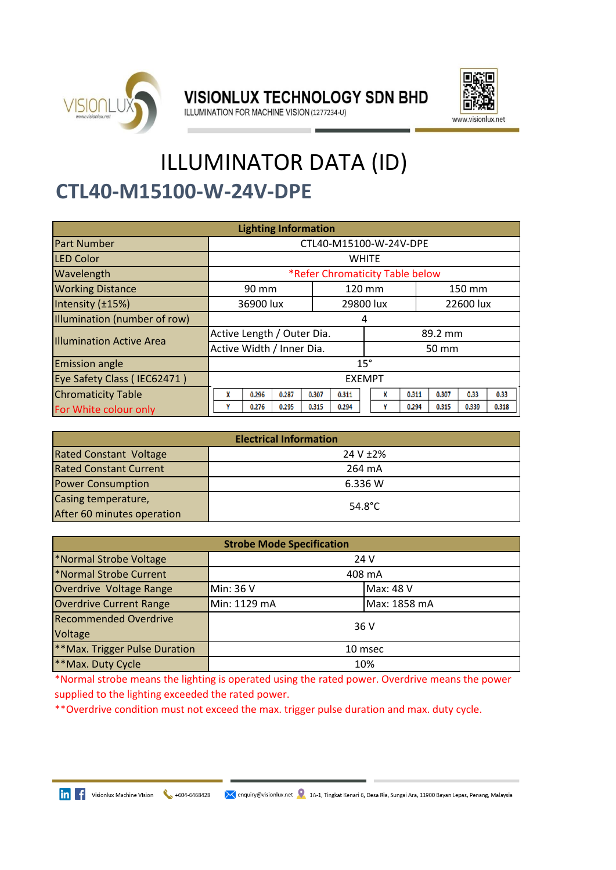

VISIONLUX TECHNOLOGY SDN BHD



ILLUMINATION FOR MACHINE VISION (1277234-U)

# **CTL40-M15100-W-24V-DPE** ILLUMINATOR DATA (ID)

| <b>Lighting Information</b>     |                                 |                |        |                |       |       |
|---------------------------------|---------------------------------|----------------|--------|----------------|-------|-------|
| <b>Part Number</b>              | CTL40-M15100-W-24V-DPE          |                |        |                |       |       |
| <b>LED Color</b>                | <b>WHITE</b>                    |                |        |                |       |       |
| Wavelength                      | *Refer Chromaticity Table below |                |        |                |       |       |
| <b>Working Distance</b>         | 90 mm                           |                | 120 mm | 150 mm         |       |       |
| Intensity (±15%)                | 36900 lux<br>29800 lux          |                |        | 22600 lux      |       |       |
| Illumination (number of row)    | 4                               |                |        |                |       |       |
| <b>Illumination Active Area</b> | Active Length / Outer Dia.      | 89.2 mm        |        |                |       |       |
|                                 | Active Width / Inner Dia.       | 50 mm          |        |                |       |       |
| <b>Emission angle</b>           | $15^\circ$                      |                |        |                |       |       |
| Eye Safety Class (IEC62471)     | <b>EXEMPT</b>                   |                |        |                |       |       |
| <b>Chromaticity Table</b>       | 0.287<br>X<br>0.296             | 0.307<br>0.311 | 0.311  | 0.307          | 0.33  | 0.33  |
| For White colour only           | 0.276<br>0.295                  | 0.315<br>0.294 |        | 0.315<br>0.294 | 0.339 | 0.318 |

| <b>Electrical Information</b> |                   |  |  |
|-------------------------------|-------------------|--|--|
| <b>Rated Constant Voltage</b> | 24 V ±2%          |  |  |
| <b>Rated Constant Current</b> | 264 mA            |  |  |
| <b>Power Consumption</b>      | 6.336 W           |  |  |
| Casing temperature,           | 54.8 $^{\circ}$ C |  |  |
| After 60 minutes operation    |                   |  |  |

| <b>Strobe Mode Specification</b> |              |              |  |
|----------------------------------|--------------|--------------|--|
| *Normal Strobe Voltage           | 24 V         |              |  |
| *Normal Strobe Current           | 408 mA       |              |  |
| Overdrive Voltage Range          | Min: 36 V    | Max: 48 V    |  |
| <b>Overdrive Current Range</b>   | Min: 1129 mA | Max: 1858 mA |  |
| <b>Recommended Overdrive</b>     | 36 V         |              |  |
| Voltage                          |              |              |  |
| **Max. Trigger Pulse Duration    | 10 msec      |              |  |
| **Max. Duty Cycle                | 10%          |              |  |

\*Normal strobe means the lighting is operated using the rated power. Overdrive means the power supplied to the lighting exceeded the rated power.

\*\*Overdrive condition must not exceed the max. trigger pulse duration and max. duty cycle.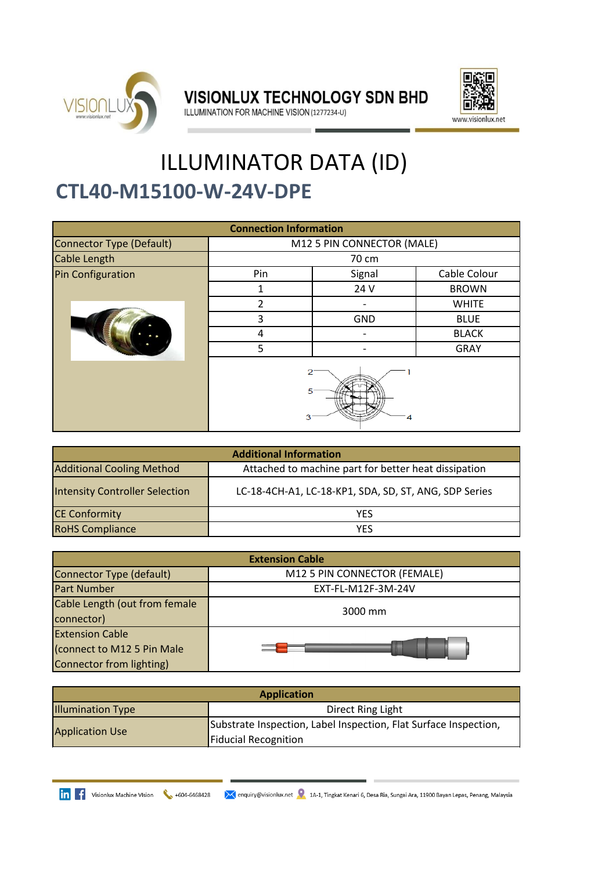

**VISIONLUX TECHNOLOGY SDN BHD** 



ILLUMINATION FOR MACHINE VISION (1277234-U)

# ILLUMINATOR DATA (ID) **CTL40-M15100-W-24V-DPE**

| <b>Connection Information</b>   |                            |            |              |  |
|---------------------------------|----------------------------|------------|--------------|--|
| <b>Connector Type (Default)</b> | M12 5 PIN CONNECTOR (MALE) |            |              |  |
| <b>Cable Length</b>             | 70 cm                      |            |              |  |
| <b>Pin Configuration</b>        | Pin                        | Signal     | Cable Colour |  |
|                                 |                            | 24 V       | <b>BROWN</b> |  |
|                                 | 2                          |            | <b>WHITE</b> |  |
|                                 | 3                          | <b>GND</b> | <b>BLUE</b>  |  |
|                                 | 4                          |            | <b>BLACK</b> |  |
|                                 | 5                          |            | <b>GRAY</b>  |  |
|                                 | 5<br>з<br>4                |            |              |  |

| <b>Additional Information</b>                                                            |                                                       |  |  |
|------------------------------------------------------------------------------------------|-------------------------------------------------------|--|--|
| <b>Additional Cooling Method</b><br>Attached to machine part for better heat dissipation |                                                       |  |  |
| <b>Intensity Controller Selection</b>                                                    | LC-18-4CH-A1, LC-18-KP1, SDA, SD, ST, ANG, SDP Series |  |  |
| <b>CE Conformity</b>                                                                     | YES                                                   |  |  |
| <b>RoHS Compliance</b>                                                                   | YFS                                                   |  |  |

| <b>Extension Cable</b>                                                           |                              |  |  |
|----------------------------------------------------------------------------------|------------------------------|--|--|
| Connector Type (default)                                                         | M12 5 PIN CONNECTOR (FEMALE) |  |  |
| <b>Part Number</b>                                                               | EXT-FL-M12F-3M-24V           |  |  |
| Cable Length (out from female<br>connector)                                      | 3000 mm                      |  |  |
| <b>Extension Cable</b><br>(connect to M12 5 Pin Male<br>Connector from lighting) |                              |  |  |

| <b>Application</b>                            |                                                                  |  |  |
|-----------------------------------------------|------------------------------------------------------------------|--|--|
| <b>Illumination Type</b><br>Direct Ring Light |                                                                  |  |  |
| <b>Application Use</b>                        | Substrate Inspection, Label Inspection, Flat Surface Inspection, |  |  |
|                                               | <b>Fiducial Recognition</b>                                      |  |  |